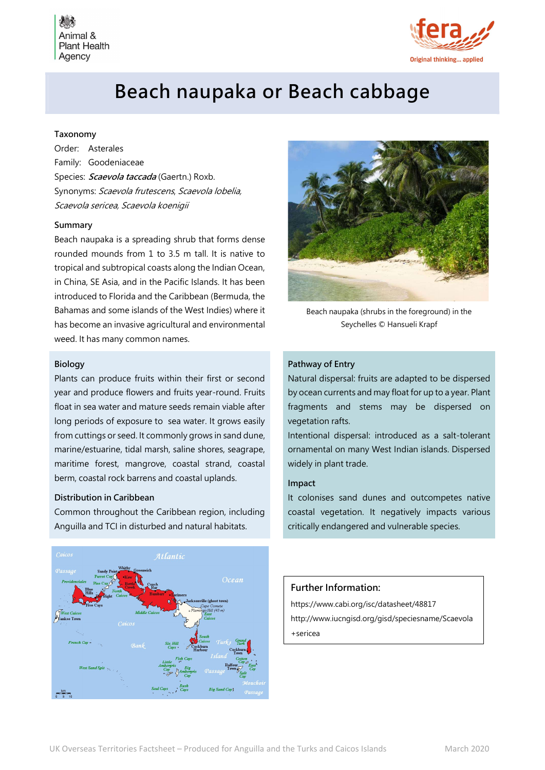Animal 8 **Plant Health** Agency



# Beach naupaka or Beach cabbage

## Taxonomy

Order: Asterales Family: Goodeniaceae Species: *Scaevola taccada* (Gaertn.) Roxb. Synonyms: Scaevola frutescens, Scaevola lobelia, Scaevola sericea, Scaevola koenigii

#### Summary

Beach naupaka is a spreading shrub that forms dense rounded mounds from 1 to 3.5 m tall. It is native to tropical and subtropical coasts along the Indian Ocean, in China, SE Asia, and in the Pacific Islands. It has been introduced to Florida and the Caribbean (Bermuda, the Bahamas and some islands of the West Indies) where it has become an invasive agricultural and environmental weed. It has many common names.

## Biology

Plants can produce fruits within their first or second year and produce flowers and fruits year-round. Fruits float in sea water and mature seeds remain viable after long periods of exposure to sea water. It grows easily from cuttings or seed. It commonly grows in sand dune, marine/estuarine, tidal marsh, saline shores, seagrape, maritime forest, mangrove, coastal strand, coastal berm, coastal rock barrens and coastal uplands.

#### Distribution in Caribbean

Common throughout the Caribbean region, including Anguilla and TCI in disturbed and natural habitats.





Beach naupaka (shrubs in the foreground) in the Seychelles © Hansueli Krapf

#### Pathway of Entry

Natural dispersal: fruits are adapted to be dispersed by ocean currents and may float for up to a year. Plant fragments and stems may be dispersed on vegetation rafts.

Intentional dispersal: introduced as a salt-tolerant ornamental on many West Indian islands. Dispersed widely in plant trade.

#### Impact

It colonises sand dunes and outcompetes native coastal vegetation. It negatively impacts various critically endangered and vulnerable species.

# Further Information:

https://www.cabi.org/isc/datasheet/48817 http://www.iucngisd.org/gisd/speciesname/Scaevola +sericea